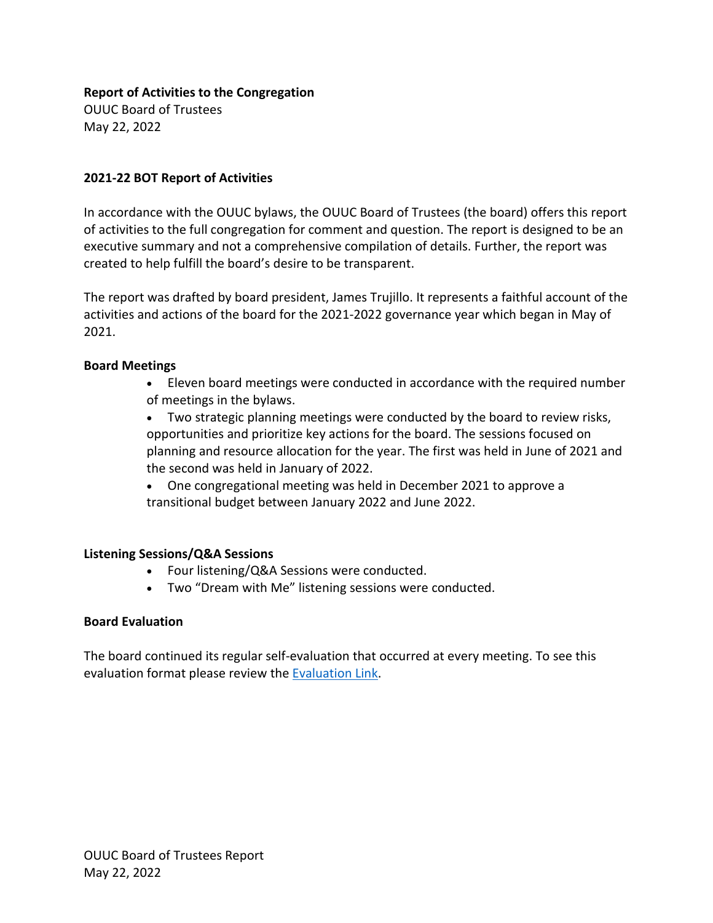#### **Report of Activities to the Congregation**

OUUC Board of Trustees May 22, 2022

## **2021-22 BOT Report of Activities**

In accordance with the OUUC bylaws, the OUUC Board of Trustees (the board) offers this report of activities to the full congregation for comment and question. The report is designed to be an executive summary and not a comprehensive compilation of details. Further, the report was created to help fulfill the board's desire to be transparent.

The report was drafted by board president, James Trujillo. It represents a faithful account of the activities and actions of the board for the 2021-2022 governance year which began in May of 2021.

## **Board Meetings**

- Eleven board meetings were conducted in accordance with the required number of meetings in the bylaws.
- Two strategic planning meetings were conducted by the board to review risks, opportunities and prioritize key actions for the board. The sessions focused on planning and resource allocation for the year. The first was held in June of 2021 and the second was held in January of 2022.
- One congregational meeting was held in December 2021 to approve a transitional budget between January 2022 and June 2022.

# **Listening Sessions/Q&A Sessions**

- Four listening/Q&A Sessions were conducted.
- Two "Dream with Me" listening sessions were conducted.

#### **Board Evaluation**

The board continued its regular self-evaluation that occurred at every meeting. To see this evaluation format please review the [Evaluation Link.](https://ouuc.sharepoint.com/:w:/s/ouucboardoftrustees/EbxRlYQaiWxDvT7OK72_bxMBfQYLIPV-prOjxUAcwigqpA?e=3l3qSa)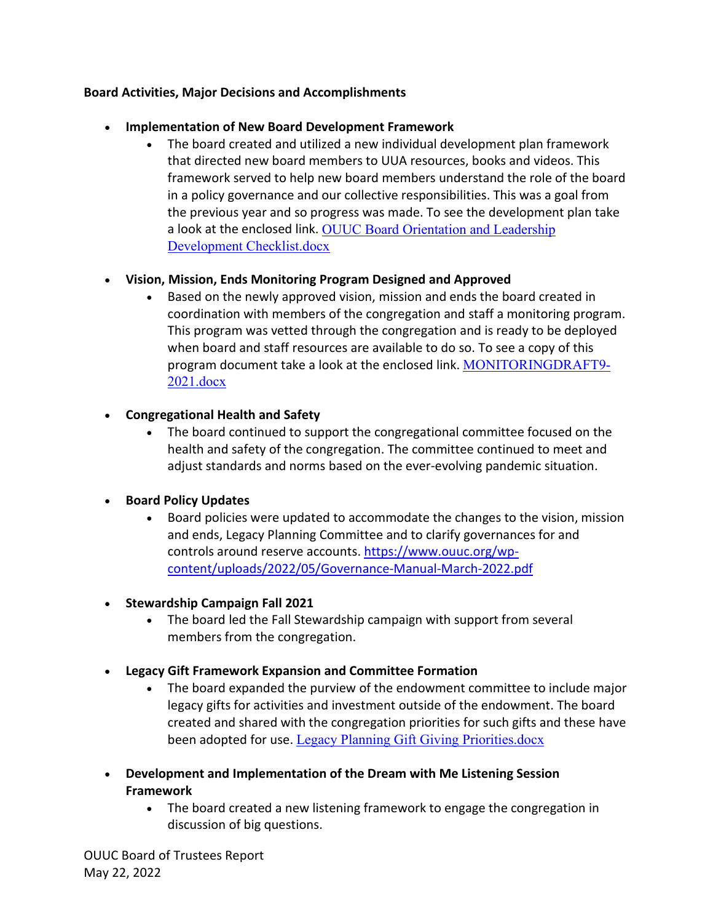# **Board Activities, Major Decisions and Accomplishments**

#### • **Implementation of New Board Development Framework**

• The board created and utilized a new individual development plan framework that directed new board members to UUA resources, books and videos. This framework served to help new board members understand the role of the board in a policy governance and our collective responsibilities. This was a goal from the previous year and so progress was made. To see the development plan take a look at the enclosed link. [OUUC Board Orientation and Leadership](https://ouuc.sharepoint.com/:w:/s/ouucboardoftrustees/EXqB3C_xQVtNtR-7ZjV17FwBuSu-jHthoAtyksGuFe9xQQ?e=Hzxsd0)  [Development Checklist.docx](https://ouuc.sharepoint.com/:w:/s/ouucboardoftrustees/EXqB3C_xQVtNtR-7ZjV17FwBuSu-jHthoAtyksGuFe9xQQ?e=Hzxsd0)

# • **Vision, Mission, Ends Monitoring Program Designed and Approved**

• Based on the newly approved vision, mission and ends the board created in coordination with members of the congregation and staff a monitoring program. This program was vetted through the congregation and is ready to be deployed when board and staff resources are available to do so. To see a copy of this program document take a look at the enclosed link. [MONITORINGDRAFT9-](https://ouuc.sharepoint.com/:w:/s/ouucboardoftrustees/EWTQ5WbLgedAg5P-g7bPhyQBsZkzJgjIkVEyxhFweckD1g?e=0h1IoB) [2021.docx](https://ouuc.sharepoint.com/:w:/s/ouucboardoftrustees/EWTQ5WbLgedAg5P-g7bPhyQBsZkzJgjIkVEyxhFweckD1g?e=0h1IoB)

# • **Congregational Health and Safety**

• The board continued to support the congregational committee focused on the health and safety of the congregation. The committee continued to meet and adjust standards and norms based on the ever-evolving pandemic situation.

# • **Board Policy Updates**

- Board policies were updated to accommodate the changes to the vision, mission and ends, Legacy Planning Committee and to clarify governances for and controls around reserve accounts[. https://www.ouuc.org/wp](https://www.ouuc.org/wp-content/uploads/2022/05/Governance-Manual-March-2022.pdf)[content/uploads/2022/05/Governance-Manual-March-2022.pdf](https://www.ouuc.org/wp-content/uploads/2022/05/Governance-Manual-March-2022.pdf)
- **Stewardship Campaign Fall 2021**
	- The board led the Fall Stewardship campaign with support from several members from the congregation.
- **Legacy Gift Framework Expansion and Committee Formation**
	- The board expanded the purview of the endowment committee to include major legacy gifts for activities and investment outside of the endowment. The board created and shared with the congregation priorities for such gifts and these have been adopted for use. [Legacy Planning Gift Giving Priorities.docx](https://ouuc.sharepoint.com/:w:/s/ouucboardoftrustees/Ea6RYgEPmaRIiDtGVsbDamIBhcISMHjSSPJM2a2-no4HuQ?e=1hia08)
- **Development and Implementation of the Dream with Me Listening Session Framework**
	- The board created a new listening framework to engage the congregation in discussion of big questions.